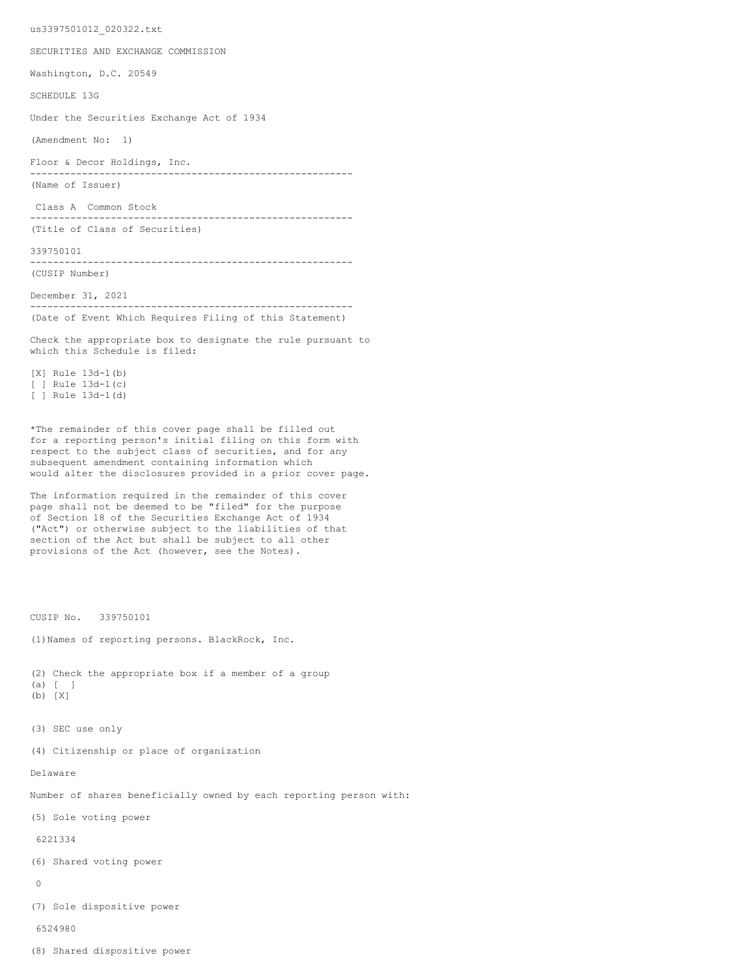us3397501012\_020322.txt

SECURITIES AND EXCHANGE COMMISSION

Washington, D.C. 20549

SCHEDULE 13G

Under the Securities Exchange Act of 1934

(Amendment No: 1)

Floor & Decor Holdings, Inc. -------------------------------------------------------- (Name of Issuer)

Class A Common Stock --------------------------------------------------------

(Title of Class of Securities)

339750101

-------------------------------------------------------- (CUSIP Number)

December 31, 2021

-------------------------------------------------------- (Date of Event Which Requires Filing of this Statement)

Check the appropriate box to designate the rule pursuant to which this Schedule is filed:

[X] Rule 13d-1(b) [ ] Rule 13d-1(c) [ ] Rule 13d-1(d)

\*The remainder of this cover page shall be filled out for a reporting person's initial filing on this form with respect to the subject class of securities, and for any subsequent amendment containing information which would alter the disclosures provided in a prior cover page.

The information required in the remainder of this cover page shall not be deemed to be "filed" for the purpose of Section 18 of the Securities Exchange Act of 1934 ("Act") or otherwise subject to the liabilities of that section of the Act but shall be subject to all other provisions of the Act (however, see the Notes).

CUSIP No. 339750101

(1)Names of reporting persons. BlackRock, Inc.

```
(2) Check the appropriate box if a member of a group
(a) [ ]
(b) [X]
```
- 
- (3) SEC use only

(4) Citizenship or place of organization

Delaware

Number of shares beneficially owned by each reporting person with:

(5) Sole voting power

6221334

(6) Shared voting power

 $\Omega$ 

(7) Sole dispositive power

6524980

(8) Shared dispositive power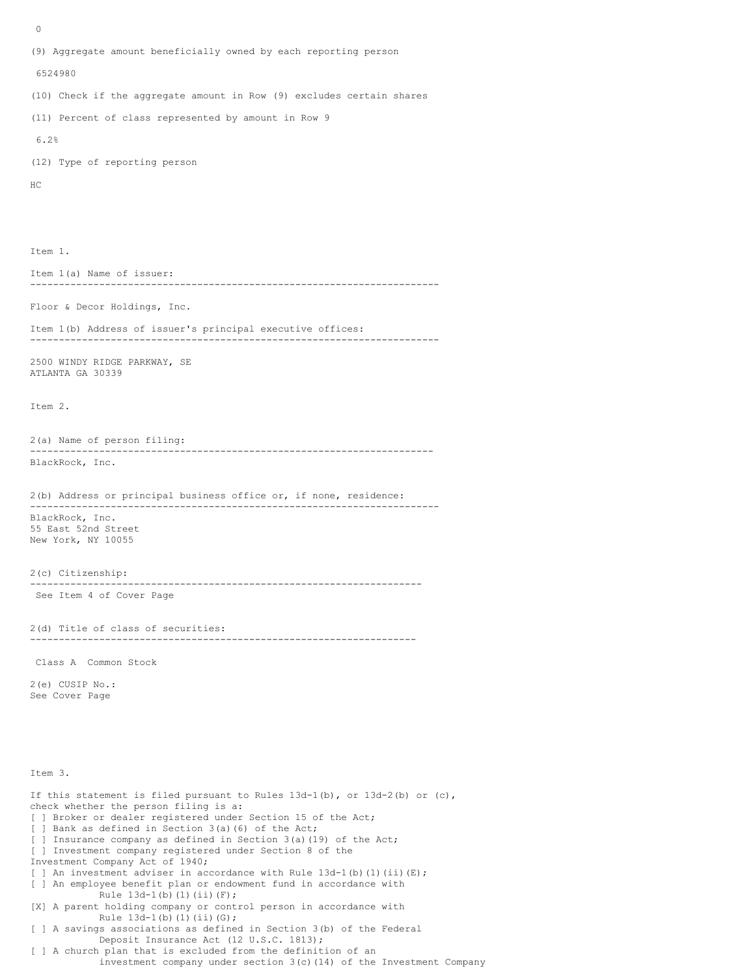0 (9) Aggregate amount beneficially owned by each reporting person 6524980 (10) Check if the aggregate amount in Row (9) excludes certain shares (11) Percent of class represented by amount in Row 9 6.2% (12) Type of reporting person HC Item 1. Item 1(a) Name of issuer: ----------------------------------------------------------------------- Floor & Decor Holdings, Inc. Item 1(b) Address of issuer's principal executive offices: ----------------------------------------------------------------------- 2500 WINDY RIDGE PARKWAY, SE ATLANTA GA 30339 Item 2. 2(a) Name of person filing: ---------------------------------------------------------------------- BlackRock, Inc. 2(b) Address or principal business office or, if none, residence: ----------------------------------------------------------------------- BlackRock, Inc. 55 East 52nd Street New York, NY 10055 2(c) Citizenship: -------------------------------------------------------------------- See Item 4 of Cover Page 2(d) Title of class of securities: ------------------------------------------------------------------- Class A Common Stock 2(e) CUSIP No.: See Cover Page Item 3. If this statement is filed pursuant to Rules  $13d-1(b)$ , or  $13d-2(b)$  or  $(c)$ , check whether the person filing is a: [ ] Broker or dealer reqistered under Section 15 of the Act; [ ] Bank as defined in Section 3(a)(6) of the Act; [ ] Insurance company as defined in Section 3(a)(19) of the Act; [ ] Investment company registered under Section 8 of the Investment Company Act of 1940; [ ] An investment adviser in accordance with Rule  $13d-1$ (b)(1)(ii)(E); [ ] An employee benefit plan or endowment fund in accordance with Rule  $13d-1(b)$  (1)(ii)(F);

[X] A parent holding company or control person in accordance with Rule 13d-1(b)(1)(ii)(G);

[ ] A savings associations as defined in Section 3(b) of the Federal Deposit Insurance Act (12 U.S.C. 1813);

[ ] A church plan that is excluded from the definition of an investment company under section 3(c)(14) of the Investment Company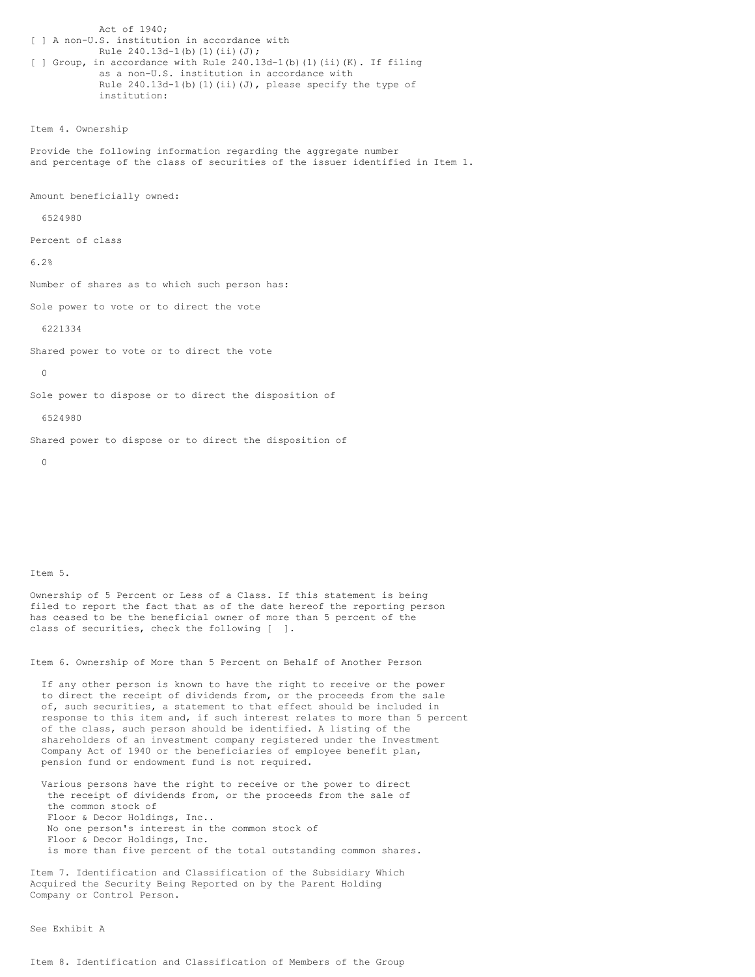Act of 1940; [ ] A non-U.S. institution in accordance with Rule 240.13d-1(b)(1)(ii)(J); [ ] Group, in accordance with Rule 240.13d-1(b)(1)(ii)(K). If filing as a non-U.S. institution in accordance with Rule  $240.13d-1$ (b)(1)(ii)(J), please specify the type of institution:

Item 4. Ownership

Provide the following information regarding the aggregate number and percentage of the class of securities of the issuer identified in Item 1.

Amount beneficially owned:

6524980

Percent of class

6.2%

Number of shares as to which such person has:

Sole power to vote or to direct the vote

6221334

Shared power to vote or to direct the vote

 $\cap$ 

Sole power to dispose or to direct the disposition of

6524980

Shared power to dispose or to direct the disposition of

 $\Omega$ 

## Item 5.

Ownership of 5 Percent or Less of a Class. If this statement is being filed to report the fact that as of the date hereof the reporting person has ceased to be the beneficial owner of more than 5 percent of the class of securities, check the following [ ].

Item 6. Ownership of More than 5 Percent on Behalf of Another Person

If any other person is known to have the right to receive or the power to direct the receipt of dividends from, or the proceeds from the sale of, such securities, a statement to that effect should be included in response to this item and, if such interest relates to more than 5 percent of the class, such person should be identified. A listing of the shareholders of an investment company registered under the Investment Company Act of 1940 or the beneficiaries of employee benefit plan, pension fund or endowment fund is not required.

Various persons have the right to receive or the power to direct the receipt of dividends from, or the proceeds from the sale of the common stock of Floor & Decor Holdings, Inc.. No one person's interest in the common stock of Floor & Decor Holdings, Inc. is more than five percent of the total outstanding common shares.

Item 7. Identification and Classification of the Subsidiary Which Acquired the Security Being Reported on by the Parent Holding Company or Control Person.

See Exhibit A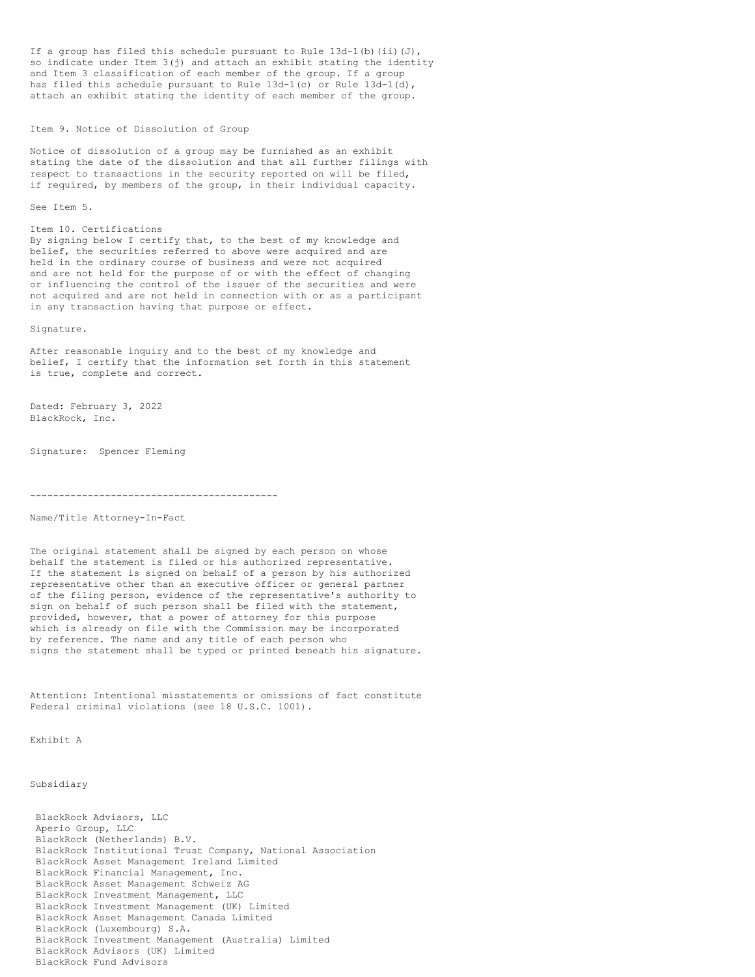If a group has filed this schedule pursuant to Rule  $13d-1$ (b)(ii)(J), so indicate under Item 3(j) and attach an exhibit stating the identity and Item 3 classification of each member of the group. If a group has filed this schedule pursuant to Rule  $13d-1(c)$  or Rule  $13d-1(d)$ , attach an exhibit stating the identity of each member of the group.

Item 9. Notice of Dissolution of Group

Notice of dissolution of a group may be furnished as an exhibit stating the date of the dissolution and that all further filings with respect to transactions in the security reported on will be filed, if required, by members of the group, in their individual capacity.

See Item 5.

## Item 10. Certifications

By signing below I certify that, to the best of my knowledge and belief, the securities referred to above were acquired and are held in the ordinary course of business and were not acquired and are not held for the purpose of or with the effect of changing or influencing the control of the issuer of the securities and were not acquired and are not held in connection with or as a participant in any transaction having that purpose or effect.

Signature.

After reasonable inquiry and to the best of my knowledge and belief, I certify that the information set forth in this statement is true, complete and correct.

Dated: February 3, 2022 BlackRock, Inc.

Signature: Spencer Fleming

-------------------------------------------

Name/Title Attorney-In-Fact

The original statement shall be signed by each person on whose behalf the statement is filed or his authorized representative. If the statement is signed on behalf of a person by his authorized representative other than an executive officer or general partner of the filing person, evidence of the representative's authority to sign on behalf of such person shall be filed with the statement, provided, however, that a power of attorney for this purpose which is already on file with the Commission may be incorporated by reference. The name and any title of each person who signs the statement shall be typed or printed beneath his signature.

Attention: Intentional misstatements or omissions of fact constitute Federal criminal violations (see 18 U.S.C. 1001).

Exhibit A

## Subsidiary

BlackRock Advisors, LLC Aperio Group, LLC BlackRock (Netherlands) B.V. BlackRock Institutional Trust Company, National Association BlackRock Asset Management Ireland Limited BlackRock Financial Management, Inc. BlackRock Asset Management Schweiz AG BlackRock Investment Management, LLC BlackRock Investment Management (UK) Limited BlackRock Asset Management Canada Limited BlackRock (Luxembourg) S.A. BlackRock Investment Management (Australia) Limited BlackRock Advisors (UK) Limited BlackRock Fund Advisors